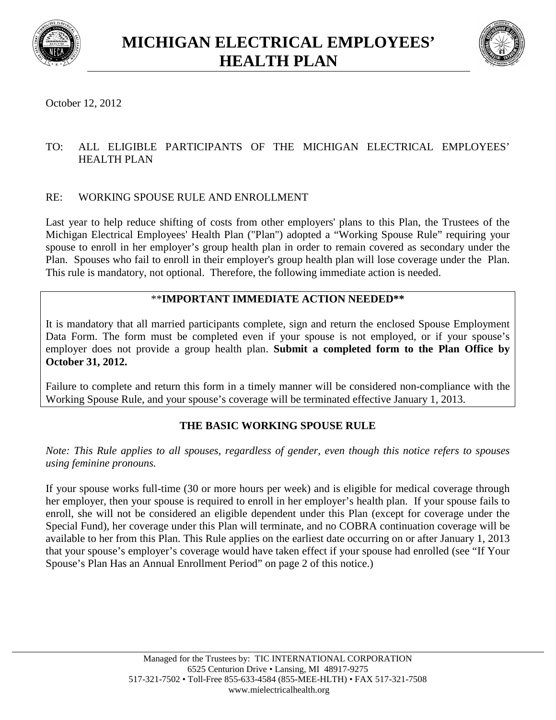



October 12, 2012

### TO: ALL ELIGIBLE PARTICIPANTS OF THE MICHIGAN ELECTRICAL EMPLOYEES' HEALTH PLAN

## RE: WORKING SPOUSE RULE AND ENROLLMENT

Last year to help reduce shifting of costs from other employers' plans to this Plan, the Trustees of the Michigan Electrical Employees' Health Plan ("Plan") adopted a "Working Spouse Rule" requiring your spouse to enroll in her employer's group health plan in order to remain covered as secondary under the Plan. Spouses who fail to enroll in their employer's group health plan will lose coverage under the Plan. This rule is mandatory, not optional. Therefore, the following immediate action is needed.

## \*\***IMPORTANT IMMEDIATE ACTION NEEDED\*\***

It is mandatory that all married participants complete, sign and return the enclosed Spouse Employment Data Form. The form must be completed even if your spouse is not employed, or if your spouse's employer does not provide a group health plan. **Submit a completed form to the Plan Office by October 31, 2012.**

Failure to complete and return this form in a timely manner will be considered non-compliance with the Working Spouse Rule, and your spouse's coverage will be terminated effective January 1, 2013.

# **THE BASIC WORKING SPOUSE RULE**

*Note: This Rule applies to all spouses, regardless of gender, even though this notice refers to spouses using feminine pronouns.*

If your spouse works full-time (30 or more hours per week) and is eligible for medical coverage through her employer, then your spouse is required to enroll in her employer's health plan. If your spouse fails to enroll, she will not be considered an eligible dependent under this Plan (except for coverage under the Special Fund), her coverage under this Plan will terminate, and no COBRA continuation coverage will be available to her from this Plan. This Rule applies on the earliest date occurring on or after January 1, 2013 that your spouse's employer's coverage would have taken effect if your spouse had enrolled (see "If Your Spouse's Plan Has an Annual Enrollment Period" on page 2 of this notice.)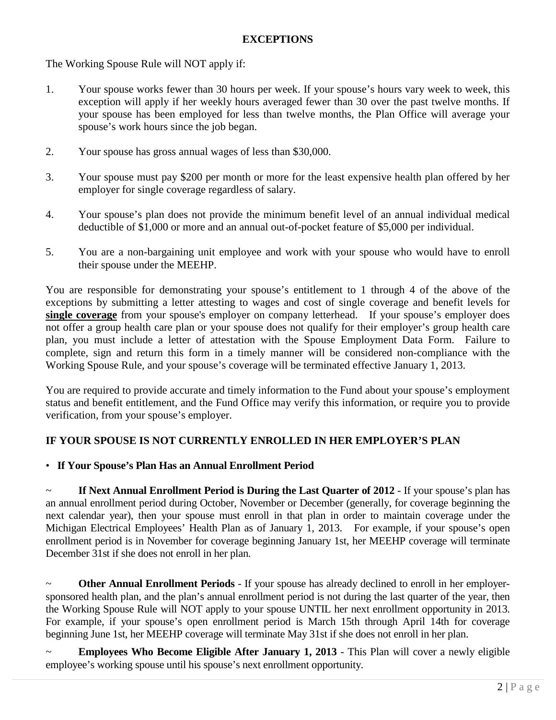### **EXCEPTIONS**

The Working Spouse Rule will NOT apply if:

- 1. Your spouse works fewer than 30 hours per week. If your spouse's hours vary week to week, this exception will apply if her weekly hours averaged fewer than 30 over the past twelve months. If your spouse has been employed for less than twelve months, the Plan Office will average your spouse's work hours since the job began.
- 2. Your spouse has gross annual wages of less than \$30,000.
- 3. Your spouse must pay \$200 per month or more for the least expensive health plan offered by her employer for single coverage regardless of salary.
- 4. Your spouse's plan does not provide the minimum benefit level of an annual individual medical deductible of \$1,000 or more and an annual out-of-pocket feature of \$5,000 per individual.
- 5. You are a non-bargaining unit employee and work with your spouse who would have to enroll their spouse under the MEEHP.

You are responsible for demonstrating your spouse's entitlement to 1 through 4 of the above of the exceptions by submitting a letter attesting to wages and cost of single coverage and benefit levels for **single coverage** from your spouse's employer on company letterhead. If your spouse's employer does not offer a group health care plan or your spouse does not qualify for their employer's group health care plan, you must include a letter of attestation with the Spouse Employment Data Form. Failure to complete, sign and return this form in a timely manner will be considered non-compliance with the Working Spouse Rule, and your spouse's coverage will be terminated effective January 1, 2013.

You are required to provide accurate and timely information to the Fund about your spouse's employment status and benefit entitlement, and the Fund Office may verify this information, or require you to provide verification, from your spouse's employer.

#### **IF YOUR SPOUSE IS NOT CURRENTLY ENROLLED IN HER EMPLOYER'S PLAN**

#### • **If Your Spouse's Plan Has an Annual Enrollment Period**

~ **If Next Annual Enrollment Period is During the Last Quarter of 2012** - If your spouse's plan has an annual enrollment period during October, November or December (generally, for coverage beginning the next calendar year), then your spouse must enroll in that plan in order to maintain coverage under the Michigan Electrical Employees' Health Plan as of January 1, 2013. For example, if your spouse's open enrollment period is in November for coverage beginning January 1st, her MEEHP coverage will terminate December 31st if she does not enroll in her plan.

~ **Other Annual Enrollment Periods** - If your spouse has already declined to enroll in her employersponsored health plan, and the plan's annual enrollment period is not during the last quarter of the year, then the Working Spouse Rule will NOT apply to your spouse UNTIL her next enrollment opportunity in 2013. For example, if your spouse's open enrollment period is March 15th through April 14th for coverage beginning June 1st, her MEEHP coverage will terminate May 31st if she does not enroll in her plan.

**Employees Who Become Eligible After January 1, 2013** - This Plan will cover a newly eligible employee's working spouse until his spouse's next enrollment opportunity.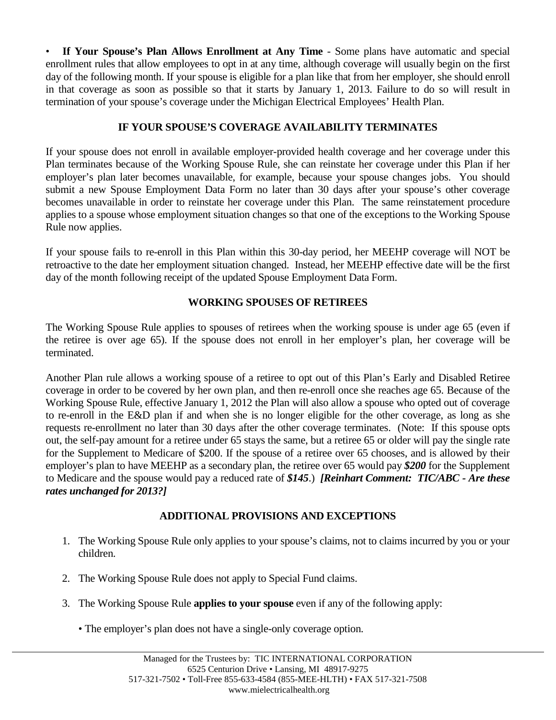• **If Your Spouse's Plan Allows Enrollment at Any Time** - Some plans have automatic and special enrollment rules that allow employees to opt in at any time, although coverage will usually begin on the first day of the following month. If your spouse is eligible for a plan like that from her employer, she should enroll in that coverage as soon as possible so that it starts by January 1, 2013. Failure to do so will result in termination of your spouse's coverage under the Michigan Electrical Employees' Health Plan.

### **IF YOUR SPOUSE'S COVERAGE AVAILABILITY TERMINATES**

If your spouse does not enroll in available employer-provided health coverage and her coverage under this Plan terminates because of the Working Spouse Rule, she can reinstate her coverage under this Plan if her employer's plan later becomes unavailable, for example, because your spouse changes jobs. You should submit a new Spouse Employment Data Form no later than 30 days after your spouse's other coverage becomes unavailable in order to reinstate her coverage under this Plan. The same reinstatement procedure applies to a spouse whose employment situation changes so that one of the exceptions to the Working Spouse Rule now applies.

If your spouse fails to re-enroll in this Plan within this 30-day period, her MEEHP coverage will NOT be retroactive to the date her employment situation changed. Instead, her MEEHP effective date will be the first day of the month following receipt of the updated Spouse Employment Data Form.

## **WORKING SPOUSES OF RETIREES**

The Working Spouse Rule applies to spouses of retirees when the working spouse is under age 65 (even if the retiree is over age 65). If the spouse does not enroll in her employer's plan, her coverage will be terminated.

Another Plan rule allows a working spouse of a retiree to opt out of this Plan's Early and Disabled Retiree coverage in order to be covered by her own plan, and then re-enroll once she reaches age 65. Because of the Working Spouse Rule, effective January 1, 2012 the Plan will also allow a spouse who opted out of coverage to re-enroll in the E&D plan if and when she is no longer eligible for the other coverage, as long as she requests re-enrollment no later than 30 days after the other coverage terminates. (Note: If this spouse opts out, the self-pay amount for a retiree under 65 stays the same, but a retiree 65 or older will pay the single rate for the Supplement to Medicare of \$200. If the spouse of a retiree over 65 chooses, and is allowed by their employer's plan to have MEEHP as a secondary plan, the retiree over 65 would pay *\$200* for the Supplement to Medicare and the spouse would pay a reduced rate of *\$145*.) *[Reinhart Comment: TIC/ABC - Are these rates unchanged for 2013?]*

### **ADDITIONAL PROVISIONS AND EXCEPTIONS**

- 1. The Working Spouse Rule only applies to your spouse's claims, not to claims incurred by you or your children.
- 2. The Working Spouse Rule does not apply to Special Fund claims.
- 3. The Working Spouse Rule **applies to your spouse** even if any of the following apply:
	- The employer's plan does not have a single-only coverage option.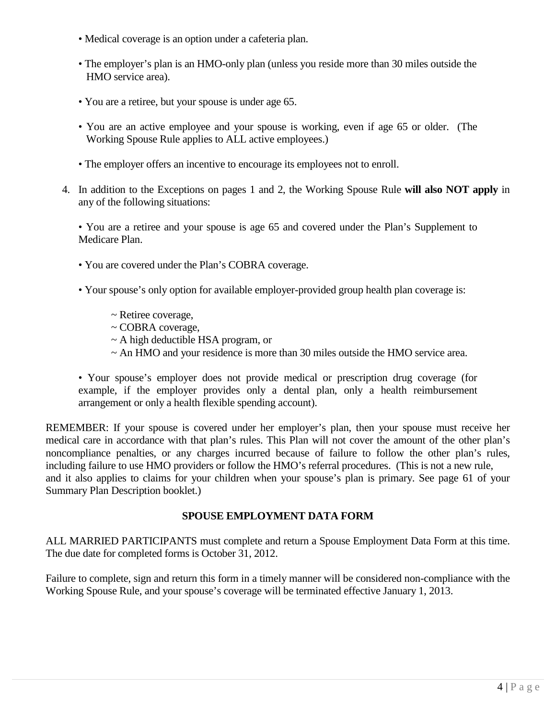- Medical coverage is an option under a cafeteria plan.
- The employer's plan is an HMO-only plan (unless you reside more than 30 miles outside the HMO service area).
- You are a retiree, but your spouse is under age 65.
- You are an active employee and your spouse is working, even if age 65 or older. (The Working Spouse Rule applies to ALL active employees.)
- The employer offers an incentive to encourage its employees not to enroll.
- 4. In addition to the Exceptions on pages 1 and 2, the Working Spouse Rule **will also NOT apply** in any of the following situations:

• You are a retiree and your spouse is age 65 and covered under the Plan's Supplement to Medicare Plan.

- You are covered under the Plan's COBRA coverage.
- Your spouse's only option for available employer-provided group health plan coverage is:
	- ~ Retiree coverage,
	- ~ COBRA coverage,
	- $\sim$  A high deductible HSA program, or
	- ~ An HMO and your residence is more than 30 miles outside the HMO service area.

• Your spouse's employer does not provide medical or prescription drug coverage (for example, if the employer provides only a dental plan, only a health reimbursement arrangement or only a health flexible spending account).

REMEMBER: If your spouse is covered under her employer's plan, then your spouse must receive her medical care in accordance with that plan's rules. This Plan will not cover the amount of the other plan's noncompliance penalties, or any charges incurred because of failure to follow the other plan's rules, including failure to use HMO providers or follow the HMO's referral procedures. (This is not a new rule, and it also applies to claims for your children when your spouse's plan is primary. See page 61 of your Summary Plan Description booklet.)

### **SPOUSE EMPLOYMENT DATA FORM**

ALL MARRIED PARTICIPANTS must complete and return a Spouse Employment Data Form at this time. The due date for completed forms is October 31, 2012.

Failure to complete, sign and return this form in a timely manner will be considered non-compliance with the Working Spouse Rule, and your spouse's coverage will be terminated effective January 1, 2013.